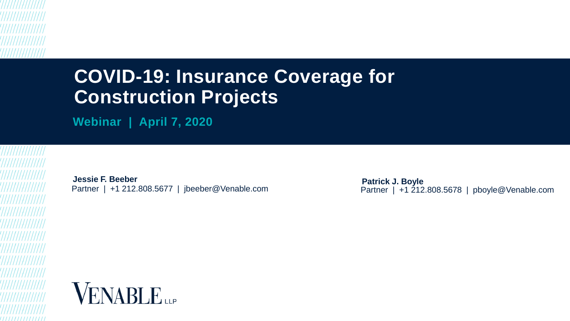# **COVID-19: Insurance Coverage for Construction Projects**

**Webinar | April 7, 2020**

**Jessie F. Beeber** Partner | +1 212.808.5677 | jbeeber@Venable.com

**Patrick J. Boyle** Partner | +1 212.808.5678 | pboyle@Venable.com

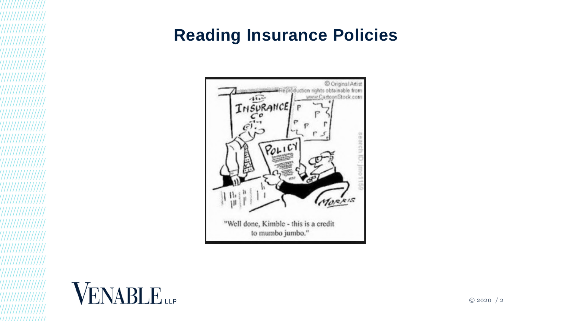## **Reading Insurance Policies**



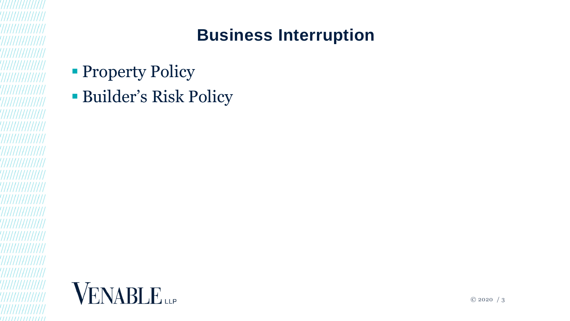

- **Property Policy**
- Builder's Risk Policy

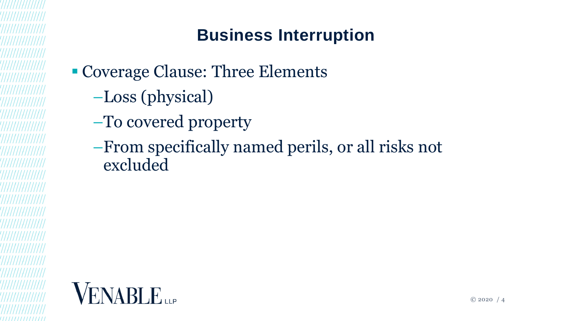

- Coverage Clause: Three Elements
	- –Loss (physical)
	- –To covered property
	- –From specifically named perils, or all risks not excluded

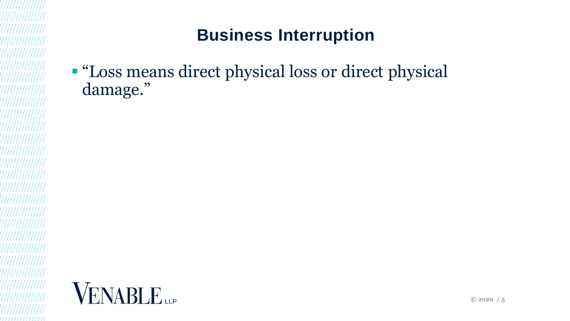"Loss means direct physical loss or direct physical damage."

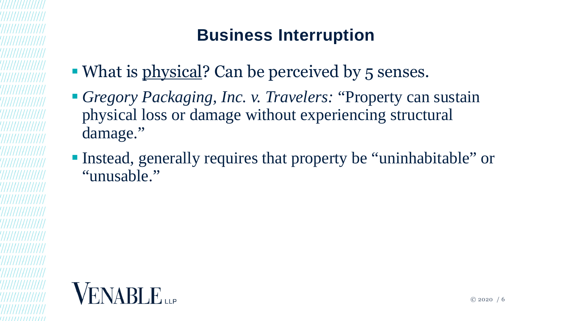- What is physical? Can be perceived by 5 senses.
- *Gregory Packaging, Inc. v. Travelers:* "Property can sustain physical loss or damage without experiencing structural damage."
- Instead, generally requires that property be "uninhabitable" or "unusable."

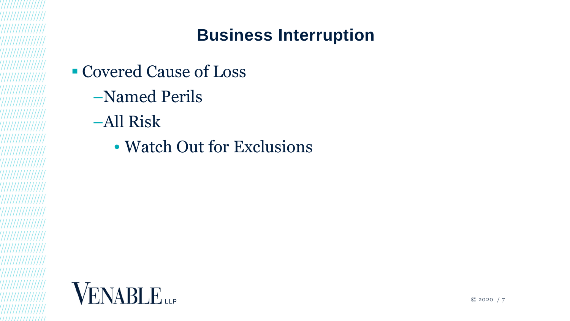

- Covered Cause of Loss
	- –Named Perils
	- –All Risk
		- Watch Out for Exclusions

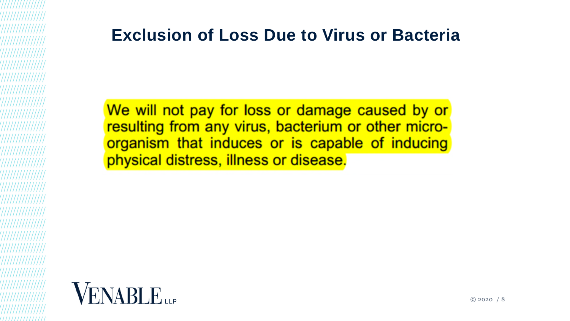### **Exclusion of Loss Due to Virus or Bacteria**

We will not pay for loss or damage caused by or resulting from any virus, bacterium or other microorganism that induces or is capable of inducing physical distress, illness or disease.

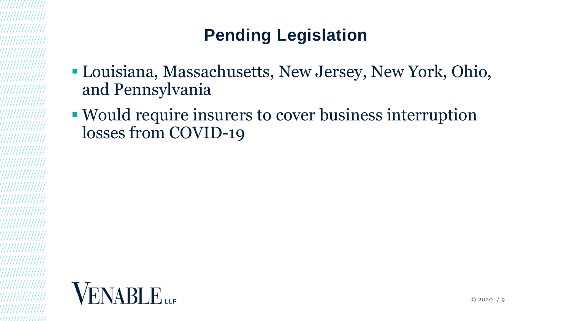# **Pending Legislation**

- Louisiana, Massachusetts, New Jersey, New York, Ohio, and Pennsylvania
- Would require insurers to cover business interruption losses from COVID-19

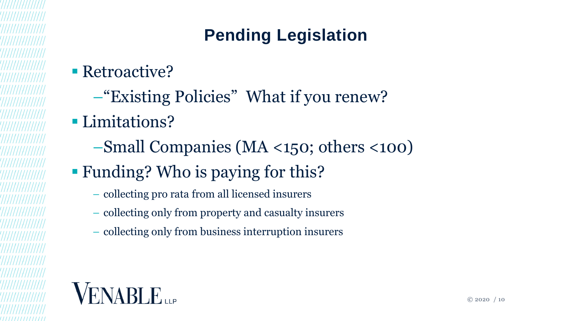# **Pending Legislation**

- Retroactive?
	- –"Existing Policies" What if you renew?
- **Limitations?** 
	- –Small Companies (MA <150; others <100)
- Funding? Who is paying for this?
	- collecting pro rata from all licensed insurers
	- collecting only from property and casualty insurers
	- collecting only from business interruption insurers

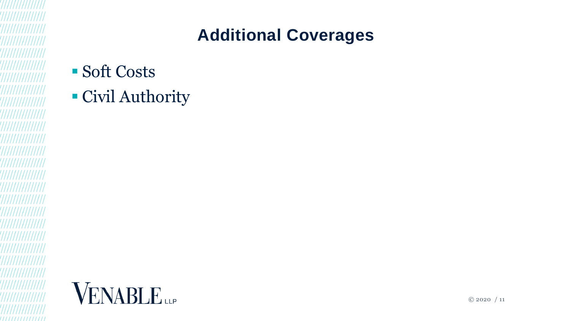# **Additional Coverages**

- Soft Costs
- Civil Authority

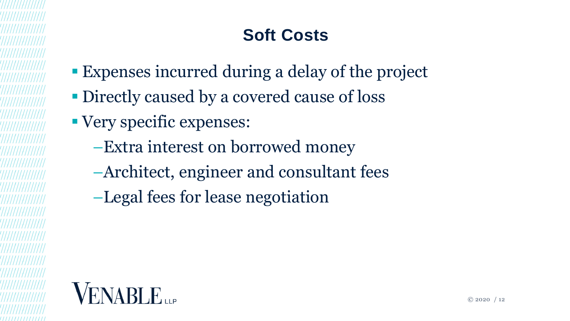# **Soft Costs**

- Expenses incurred during a delay of the project
- Directly caused by a covered cause of loss
- Very specific expenses:
	- –Extra interest on borrowed money
	- –Architect, engineer and consultant fees
	- –Legal fees for lease negotiation

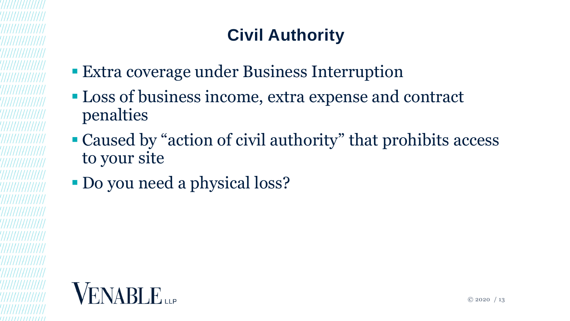# **Civil Authority**

- Extra coverage under Business Interruption
- **Loss of business income, extra expense and contract** penalties
- Caused by "action of civil authority" that prohibits access to your site
- Do you need a physical loss?

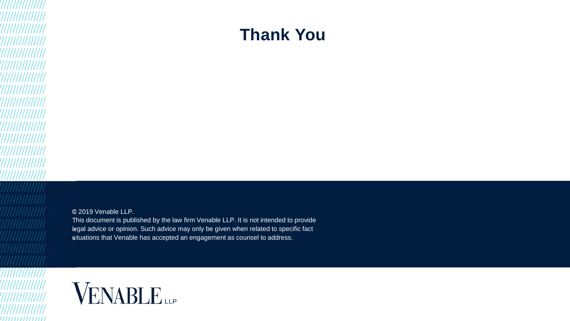#### **Thank You**

© 2019 Venable LLP.

This document is published by the law firm Venable LLP. It is not intended to provide legal advice or opinion. Such advice may only be given when related to specific fact situations that Venable has accepted an engagement as counsel to address.